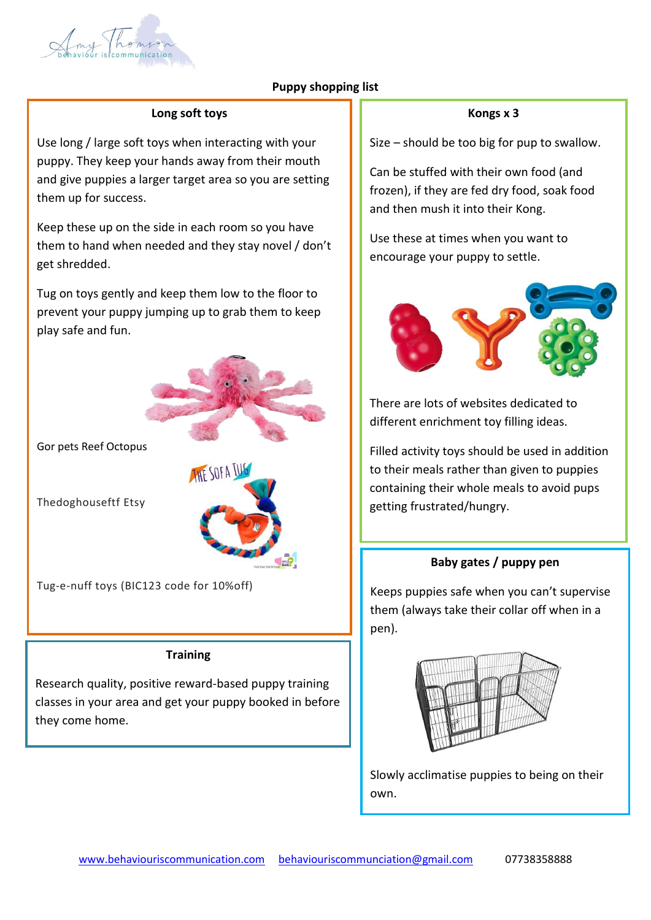

## **Puppy shopping list**

#### **Long soft toys**

Use long / large soft toys when interacting with your puppy. They keep your hands away from their mouth and give puppies a larger target area so you are setting them up for success.

Keep these up on the side in each room so you have them to hand when needed and they stay novel / don't get shredded.

Tug on toys gently and keep them low to the floor to prevent your puppy jumping up to grab them to keep play safe and fun.



Gor pets Reef Octopus

Thedoghouseftf Etsy



Tug-e-nuff toys (BIC123 code for 10%off)

#### **Training**

Research quality, positive reward-based puppy training classes in your area and get your puppy booked in before they come home.

#### **Kongs x 3**

Size – should be too big for pup to swallow.

Can be stuffed with their own food (and frozen), if they are fed dry food, soak food and then mush it into their Kong.

Use these at times when you want to encourage your puppy to settle.



There are lots of websites dedicated to different enrichment toy filling ideas.

Filled activity toys should be used in addition to their meals rather than given to puppies containing their whole meals to avoid pups getting frustrated/hungry.

#### **Baby gates / puppy pen**

Keeps puppies safe when you can't supervise them (always take their collar off when in a pen).



Slowly acclimatise puppies to being on their own.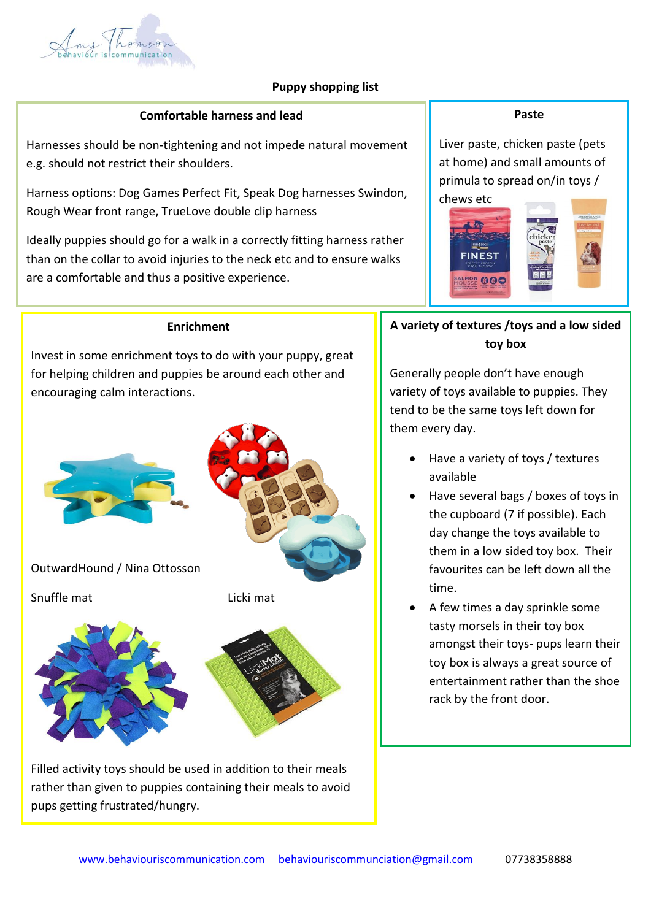

## **Puppy shopping list**

#### **Comfortable harness and lead**

Harnesses should be non-tightening and not impede natural movement e.g. should not restrict their shoulders.

Harness options: Dog Games Perfect Fit, Speak Dog harnesses Swindon, Rough Wear front range, TrueLove double clip harness

Ideally puppies should go for a walk in a correctly fitting harness rather than on the collar to avoid injuries to the neck etc and to ensure walks are a comfortable and thus a positive experience.

Use a long, non extendable, lightweight lead to allow free movement

#### **Enrichment**

Invest in some enrichment toys to do with your puppy, great for helping children and puppies be around each other and encouraging calm interactions.



OutwardHound / Nina Ottosson

Snuffle mat Licki mat



Filled activity toys should be used in addition to their meals rather than given to puppies containing their meals to avoid pups getting frustrated/hungry.

#### **Paste**

Liver paste, chicken paste (pets at home) and small amounts of primula to spread on/in toys /



# **A variety of textures /toys and a low sided toy box**

Generally people don't have enough variety of toys available to puppies. They tend to be the same toys left down for them every day.

- Have a variety of toys / textures available
- Have several bags / boxes of toys in the cupboard (7 if possible). Each day change the toys available to them in a low sided toy box. Their favourites can be left down all the time.
- A few times a day sprinkle some tasty morsels in their toy box amongst their toys- pups learn their toy box is always a great source of entertainment rather than the shoe rack by the front door.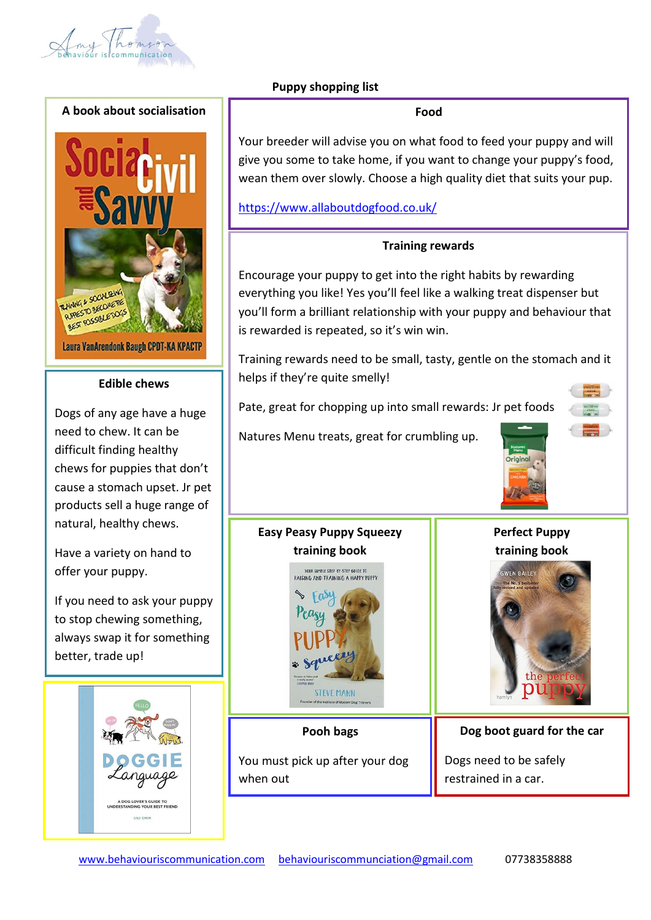





#### **Edible chews**

Dogs of any age have a huge need to chew. It can be difficult finding healthy chews for puppies that don't cause a stomach upset. Jr pet products sell a huge range of natural, healthy chews.

Have a variety on hand to offer your puppy.

If you need to ask your puppy to stop chewing something, always swap it for something better, trade up!



## **Puppy shopping list**

Your breeder will advise you on what food to feed your puppy and will give you some to take home, if you want to change your puppy's food, wean them over slowly. Choose a high quality diet that suits your pup.

## <https://www.allaboutdogfood.co.uk/>

#### **Training rewards**

Encourage your puppy to get into the right habits by rewarding everything you like! Yes you'll feel like a walking treat dispenser but you'll form a brilliant relationship with your puppy and behaviour that is rewarded is repeated, so it's win win.

Training rewards need to be small, tasty, gentle on the stomach and it helps if they're quite smelly!

Pate, great for chopping up into small rewards: Jr pet foods

Natures Menu treats, great for crumbling up.



# **Perfect Puppy training book**



## **Pooh bags**

**STEVE MANN** 

**Easy Peasy Puppy Squeezy training book**

YOUR SIMPLE STEP-BY-STEP GUIDE TO<br>RAISING AND TRAINING A HAPPY PUPPY

You must pick up after your dog when out

**Dog boot guard for the car** 

Dogs need to be safely restrained in a car.